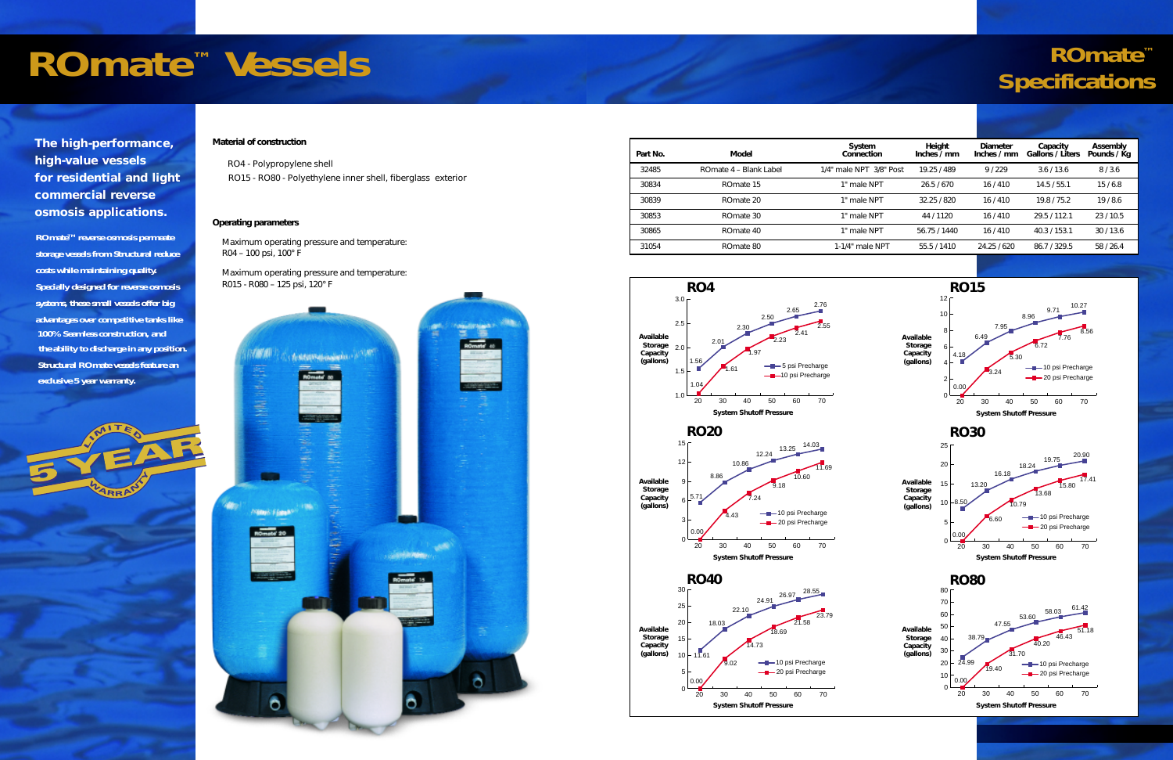## *ROmate™ VesselsROmate™ Specifications*

*The high-performance, high-value vessels for residential and light commercial reverse osmosis applications.*

**ROmateTM reverse osmosis permeate storage vessels from Structural reduce costs while maintaining quality. Specially designed for reverse osmosis systems, these small vessels offer big advantages over competitive tanks like 100% Seamless construction, and the ability to discharge in any position. Structural ROmate vessels feature an exclusive 5 year warranty.**



## *Material of construction*

*RO4 - Polypropylene shell RO15 - RO80 - Polyethylene inner shell, fiberglass exterior*

## *Operating parameters*

*Maximum operating pressure and temperature: R04 – 100 psi, 100° F* 

*Maximum operating pressure and temperature: R015 - R080 – 125 psi, 120° F*